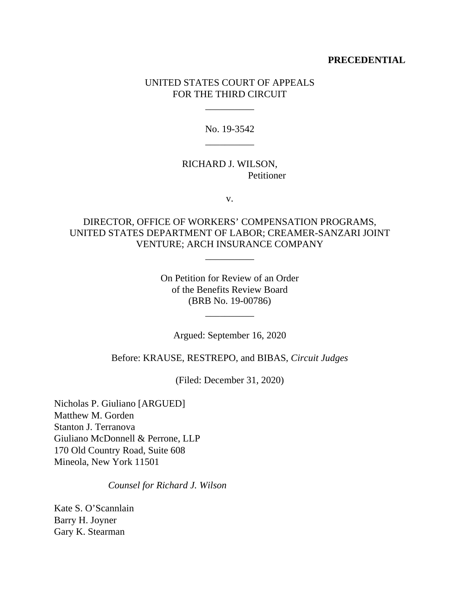## **PRECEDENTIAL**

## UNITED STATES COURT OF APPEALS FOR THE THIRD CIRCUIT

\_\_\_\_\_\_\_\_\_\_

No. 19-3542 \_\_\_\_\_\_\_\_\_\_

## RICHARD J. WILSON, Petitioner

v.

# DIRECTOR, OFFICE OF WORKERS' COMPENSATION PROGRAMS, UNITED STATES DEPARTMENT OF LABOR; CREAMER-SANZARI JOINT VENTURE; ARCH INSURANCE COMPANY

\_\_\_\_\_\_\_\_\_\_

On Petition for Review of an Order of the Benefits Review Board (BRB No. 19-00786)

\_\_\_\_\_\_\_\_\_\_

Argued: September 16, 2020

Before: KRAUSE, RESTREPO, and BIBAS, *Circuit Judges*

(Filed: December 31, 2020)

Nicholas P. Giuliano [ARGUED] Matthew M. Gorden Stanton J. Terranova Giuliano McDonnell & Perrone, LLP 170 Old Country Road, Suite 608 Mineola, New York 11501

*Counsel for Richard J. Wilson*

Kate S. O'Scannlain Barry H. Joyner Gary K. Stearman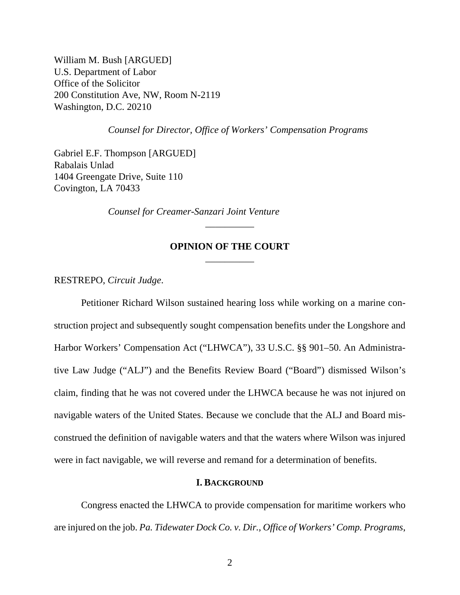William M. Bush [ARGUED] U.S. Department of Labor Office of the Solicitor 200 Constitution Ave, NW, Room N-2119 Washington, D.C. 20210

*Counsel for Director, Office of Workers' Compensation Programs*

Gabriel E.F. Thompson [ARGUED] Rabalais Unlad 1404 Greengate Drive, Suite 110 Covington, LA 70433

*Counsel for Creamer-Sanzari Joint Venture*

# **OPINION OF THE COURT** \_\_\_\_\_\_\_\_\_\_

\_\_\_\_\_\_\_\_\_\_

RESTREPO, *Circuit Judge*.

Petitioner Richard Wilson sustained hearing loss while working on a marine construction project and subsequently sought compensation benefits under the Longshore and Harbor Workers' Compensation Act ("LHWCA"), 33 U.S.C. §§ 901–50. An Administrative Law Judge ("ALJ") and the Benefits Review Board ("Board") dismissed Wilson's claim, finding that he was not covered under the LHWCA because he was not injured on navigable waters of the United States. Because we conclude that the ALJ and Board misconstrued the definition of navigable waters and that the waters where Wilson was injured were in fact navigable, we will reverse and remand for a determination of benefits.

#### **I. BACKGROUND**

Congress enacted the LHWCA to provide compensation for maritime workers who are injured on the job. *Pa. Tidewater Dock Co. v. Dir., Office of Workers' Comp. Programs*,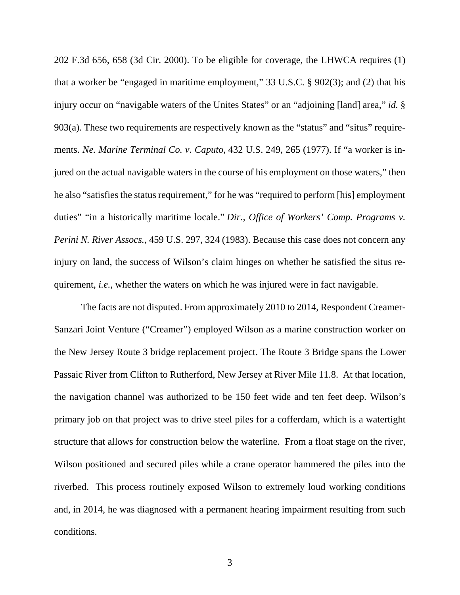202 F.3d 656, 658 (3d Cir. 2000). To be eligible for coverage, the LHWCA requires (1) that a worker be "engaged in maritime employment," 33 U.S.C. § 902(3); and (2) that his injury occur on "navigable waters of the Unites States" or an "adjoining [land] area," *id.* § 903(a). These two requirements are respectively known as the "status" and "situs" requirements. *Ne. Marine Terminal Co. v. Caputo*, 432 U.S. 249, 265 (1977). If "a worker is injured on the actual navigable waters in the course of his employment on those waters," then he also "satisfies the status requirement," for he was "required to perform [his] employment duties" "in a historically maritime locale." *Dir., Office of Workers' Comp. Programs v. Perini N. River Assocs.*, 459 U.S. 297, 324 (1983). Because this case does not concern any injury on land, the success of Wilson's claim hinges on whether he satisfied the situs requirement, *i.e.*, whether the waters on which he was injured were in fact navigable.

The facts are not disputed. From approximately 2010 to 2014, Respondent Creamer-Sanzari Joint Venture ("Creamer") employed Wilson as a marine construction worker on the New Jersey Route 3 bridge replacement project. The Route 3 Bridge spans the Lower Passaic River from Clifton to Rutherford, New Jersey at River Mile 11.8. At that location, the navigation channel was authorized to be 150 feet wide and ten feet deep. Wilson's primary job on that project was to drive steel piles for a cofferdam, which is a watertight structure that allows for construction below the waterline. From a float stage on the river, Wilson positioned and secured piles while a crane operator hammered the piles into the riverbed. This process routinely exposed Wilson to extremely loud working conditions and, in 2014, he was diagnosed with a permanent hearing impairment resulting from such conditions.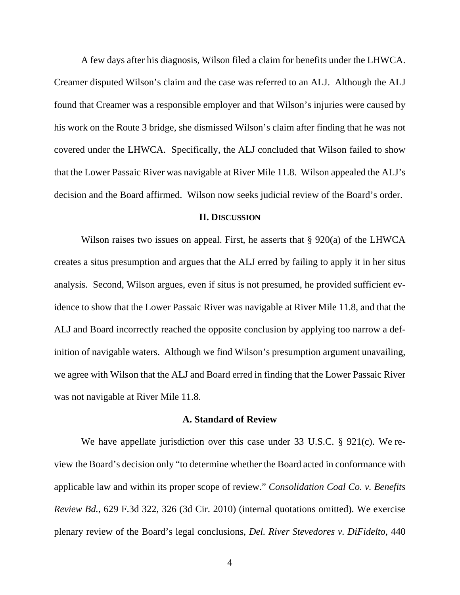A few days after his diagnosis, Wilson filed a claim for benefits under the LHWCA. Creamer disputed Wilson's claim and the case was referred to an ALJ. Although the ALJ found that Creamer was a responsible employer and that Wilson's injuries were caused by his work on the Route 3 bridge, she dismissed Wilson's claim after finding that he was not covered under the LHWCA. Specifically, the ALJ concluded that Wilson failed to show that the Lower Passaic River was navigable at River Mile 11.8. Wilson appealed the ALJ's decision and the Board affirmed. Wilson now seeks judicial review of the Board's order.

#### **II. DISCUSSION**

Wilson raises two issues on appeal. First, he asserts that § 920(a) of the LHWCA creates a situs presumption and argues that the ALJ erred by failing to apply it in her situs analysis. Second, Wilson argues, even if situs is not presumed, he provided sufficient evidence to show that the Lower Passaic River was navigable at River Mile 11.8, and that the ALJ and Board incorrectly reached the opposite conclusion by applying too narrow a definition of navigable waters. Although we find Wilson's presumption argument unavailing, we agree with Wilson that the ALJ and Board erred in finding that the Lower Passaic River was not navigable at River Mile 11.8.

#### **A. Standard of Review**

We have appellate jurisdiction over this case under 33 U.S.C. § 921(c). We review the Board's decision only "to determine whether the Board acted in conformance with applicable law and within its proper scope of review." *Consolidation Coal Co. v. Benefits Review Bd.*, 629 F.3d 322, 326 (3d Cir. 2010) (internal quotations omitted). We exercise plenary review of the Board's legal conclusions, *Del. River Stevedores v. DiFidelto*, 440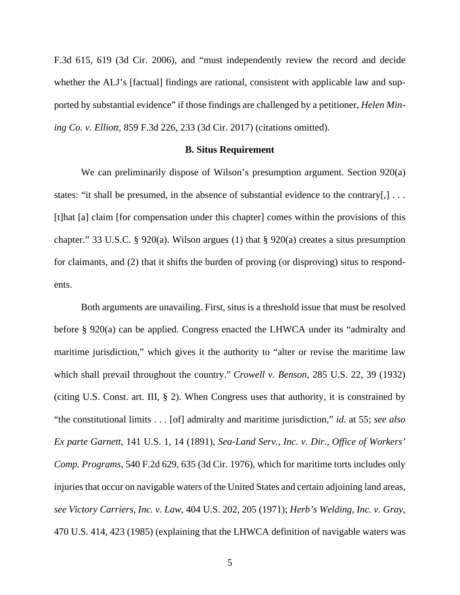F.3d 615, 619 (3d Cir. 2006), and "must independently review the record and decide whether the ALJ's [factual] findings are rational, consistent with applicable law and supported by substantial evidence" if those findings are challenged by a petitioner, *Helen Mining Co. v. Elliott*, 859 F.3d 226, 233 (3d Cir. 2017) (citations omitted).

#### **B. Situs Requirement**

We can preliminarily dispose of Wilson's presumption argument. Section 920(a) states: "it shall be presumed, in the absence of substantial evidence to the contrary[,] ... [t]hat [a] claim [for compensation under this chapter] comes within the provisions of this chapter." 33 U.S.C. § 920(a). Wilson argues (1) that § 920(a) creates a situs presumption for claimants, and (2) that it shifts the burden of proving (or disproving) situs to respondents.

Both arguments are unavailing. First, situs is a threshold issue that must be resolved before § 920(a) can be applied. Congress enacted the LHWCA under its "admiralty and maritime jurisdiction," which gives it the authority to "alter or revise the maritime law which shall prevail throughout the country." *Crowell v. Benson*, 285 U.S. 22, 39 (1932) (citing U.S. Const. art. III, § 2). When Congress uses that authority, it is constrained by "the constitutional limits . . . [of] admiralty and maritime jurisdiction," *id.* at 55; *see also Ex parte Garnett,* 141 U.S. 1, 14 (1891), *Sea-Land Serv., Inc. v. Dir., Office of Workers' Comp. Programs*, 540 F.2d 629, 635 (3d Cir. 1976), which for maritime torts includes only injuries that occur on navigable waters of the United States and certain adjoining land areas, *see Victory Carriers, Inc. v. Law*, 404 U.S. 202, 205 (1971); *Herb's Welding, Inc. v. Gray*, 470 U.S. 414, 423 (1985) (explaining that the LHWCA definition of navigable waters was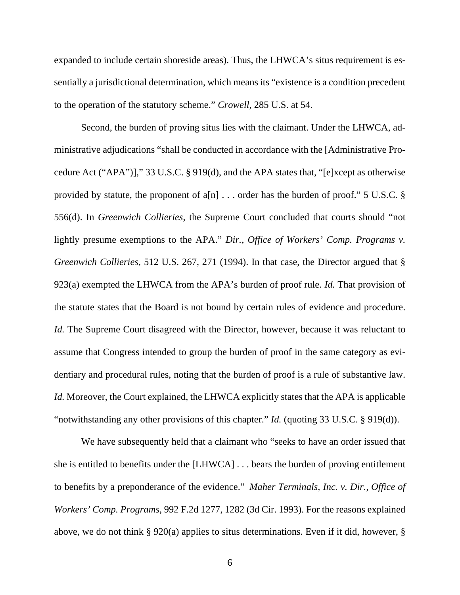expanded to include certain shoreside areas). Thus, the LHWCA's situs requirement is essentially a jurisdictional determination, which means its "existence is a condition precedent to the operation of the statutory scheme." *Crowell*, 285 U.S. at 54.

Second, the burden of proving situs lies with the claimant. Under the LHWCA, administrative adjudications "shall be conducted in accordance with the [Administrative Procedure Act ("APA")]," 33 U.S.C. § 919(d), and the APA states that, "[e]xcept as otherwise provided by statute, the proponent of  $a[n]$ ... order has the burden of proof." 5 U.S.C. § 556(d). In *Greenwich Collieries*, the Supreme Court concluded that courts should "not lightly presume exemptions to the APA." *Dir., Office of Workers' Comp. Programs v. Greenwich Collieries*, 512 U.S. 267, 271 (1994). In that case, the Director argued that § 923(a) exempted the LHWCA from the APA's burden of proof rule. *Id.* That provision of the statute states that the Board is not bound by certain rules of evidence and procedure. *Id.* The Supreme Court disagreed with the Director, however, because it was reluctant to assume that Congress intended to group the burden of proof in the same category as evidentiary and procedural rules, noting that the burden of proof is a rule of substantive law. *Id.* Moreover, the Court explained, the LHWCA explicitly states that the APA is applicable "notwithstanding any other provisions of this chapter." *Id.* (quoting 33 U.S.C. § 919(d)).

We have subsequently held that a claimant who "seeks to have an order issued that she is entitled to benefits under the [LHWCA] . . . bears the burden of proving entitlement to benefits by a preponderance of the evidence." *Maher Terminals, Inc. v. Dir., Office of Workers' Comp. Programs*, 992 F.2d 1277, 1282 (3d Cir. 1993). For the reasons explained above, we do not think § 920(a) applies to situs determinations. Even if it did, however, §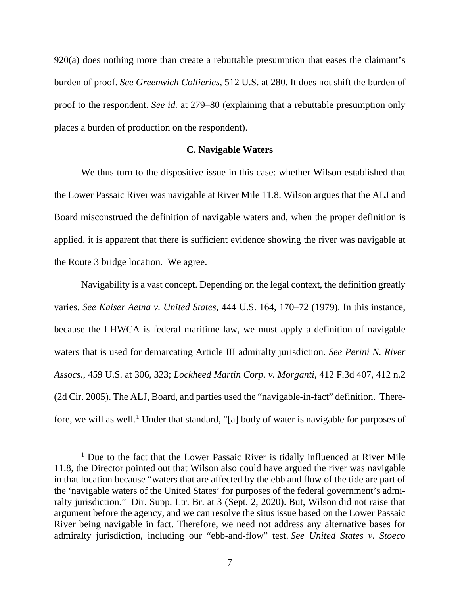920(a) does nothing more than create a rebuttable presumption that eases the claimant's burden of proof. *See Greenwich Collieries*, 512 U.S. at 280. It does not shift the burden of proof to the respondent. *See id.* at 279–80 (explaining that a rebuttable presumption only places a burden of production on the respondent).

### **C. Navigable Waters**

We thus turn to the dispositive issue in this case: whether Wilson established that the Lower Passaic River was navigable at River Mile 11.8. Wilson argues that the ALJ and Board misconstrued the definition of navigable waters and, when the proper definition is applied, it is apparent that there is sufficient evidence showing the river was navigable at the Route 3 bridge location. We agree.

Navigability is a vast concept. Depending on the legal context, the definition greatly varies. *See Kaiser Aetna v. United States*, 444 U.S. 164, 170–72 (1979). In this instance, because the LHWCA is federal maritime law, we must apply a definition of navigable waters that is used for demarcating Article III admiralty jurisdiction. *See Perini N. River Assocs.*, 459 U.S. at 306, 323; *Lockheed Martin Corp. v. Morganti*, 412 F.3d 407, 412 n.2 (2d Cir. 2005). The ALJ, Board, and parties used the "navigable-in-fact" definition. Therefore, we will as well.<sup>1</sup> Under that standard, "[a] body of water is navigable for purposes of

<sup>&</sup>lt;sup>1</sup> Due to the fact that the Lower Passaic River is tidally influenced at River Mile 11.8, the Director pointed out that Wilson also could have argued the river was navigable in that location because "waters that are affected by the ebb and flow of the tide are part of the 'navigable waters of the United States' for purposes of the federal government's admiralty jurisdiction." Dir. Supp. Ltr. Br. at 3 (Sept. 2, 2020). But, Wilson did not raise that argument before the agency, and we can resolve the situs issue based on the Lower Passaic River being navigable in fact. Therefore, we need not address any alternative bases for admiralty jurisdiction, including our "ebb-and-flow" test. *See United States v. Stoeco*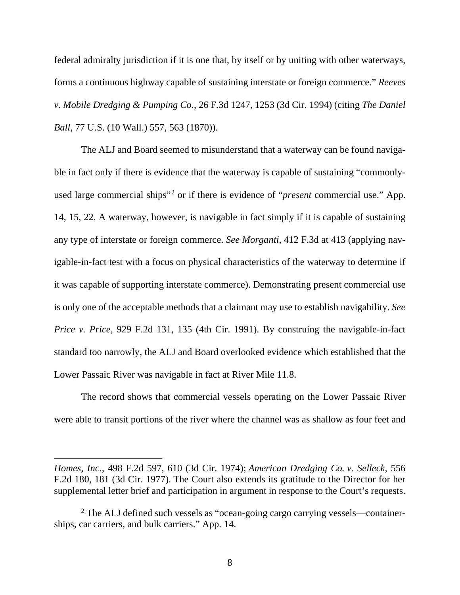federal admiralty jurisdiction if it is one that, by itself or by uniting with other waterways, forms a continuous highway capable of sustaining interstate or foreign commerce." *Reeves v. Mobile Dredging & Pumping Co.*, 26 F.3d 1247, 1253 (3d Cir. 1994) (citing *The Daniel Ball*, 77 U.S. (10 Wall.) 557, 563 (1870)).

The ALJ and Board seemed to misunderstand that a waterway can be found navigable in fact only if there is evidence that the waterway is capable of sustaining "commonlyused large commercial ships"2 or if there is evidence of "*present* commercial use." App. 14, 15, 22. A waterway, however, is navigable in fact simply if it is capable of sustaining any type of interstate or foreign commerce. *See Morganti*, 412 F.3d at 413 (applying navigable-in-fact test with a focus on physical characteristics of the waterway to determine if it was capable of supporting interstate commerce). Demonstrating present commercial use is only one of the acceptable methods that a claimant may use to establish navigability. *See Price v. Price*, 929 F.2d 131, 135 (4th Cir. 1991). By construing the navigable-in-fact standard too narrowly, the ALJ and Board overlooked evidence which established that the Lower Passaic River was navigable in fact at River Mile 11.8.

The record shows that commercial vessels operating on the Lower Passaic River were able to transit portions of the river where the channel was as shallow as four feet and

*Homes, Inc.*, 498 F.2d 597, 610 (3d Cir. 1974); *American Dredging Co. v. Selleck*, 556 F.2d 180, 181 (3d Cir. 1977). The Court also extends its gratitude to the Director for her supplemental letter brief and participation in argument in response to the Court's requests.

<sup>&</sup>lt;sup>2</sup> The ALJ defined such vessels as "ocean-going cargo carrying vessels—containerships, car carriers, and bulk carriers." App. 14.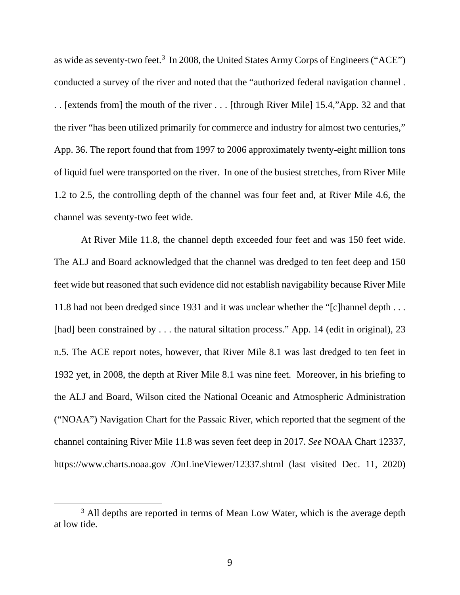as wide as seventy-two feet.<sup>3</sup> In 2008, the United States Army Corps of Engineers ("ACE") conducted a survey of the river and noted that the "authorized federal navigation channel . . . [extends from] the mouth of the river . . . [through River Mile] 15.4,"App. 32 and that the river "has been utilized primarily for commerce and industry for almost two centuries," App. 36. The report found that from 1997 to 2006 approximately twenty-eight million tons of liquid fuel were transported on the river. In one of the busiest stretches, from River Mile 1.2 to 2.5, the controlling depth of the channel was four feet and, at River Mile 4.6, the channel was seventy-two feet wide.

At River Mile 11.8, the channel depth exceeded four feet and was 150 feet wide. The ALJ and Board acknowledged that the channel was dredged to ten feet deep and 150 feet wide but reasoned that such evidence did not establish navigability because River Mile 11.8 had not been dredged since 1931 and it was unclear whether the "[c]hannel depth . . . [had] been constrained by . . . the natural siltation process." App. 14 (edit in original), 23 n.5. The ACE report notes, however, that River Mile 8.1 was last dredged to ten feet in 1932 yet, in 2008, the depth at River Mile 8.1 was nine feet. Moreover, in his briefing to the ALJ and Board, Wilson cited the National Oceanic and Atmospheric Administration ("NOAA") Navigation Chart for the Passaic River, which reported that the segment of the channel containing River Mile 11.8 was seven feet deep in 2017. *See* NOAA Chart 12337, https://www.charts.noaa.gov /OnLineViewer/12337.shtml (last visited Dec. 11, 2020)

<sup>&</sup>lt;sup>3</sup> All depths are reported in terms of Mean Low Water, which is the average depth at low tide.